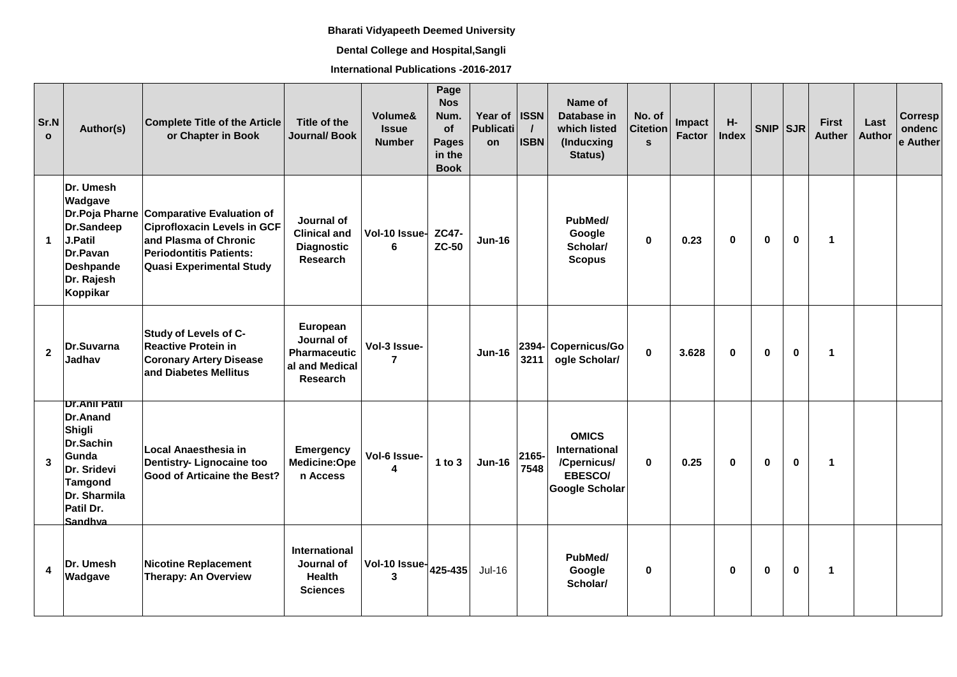## **Bharati Vidyapeeth Deemed University**

## **Dental College and Hospital,Sangli**

**International Publications -2016-2017**

| Sr.N<br>$\mathbf{o}$ | Author(s)                                                                                                                                        | <b>Complete Title of the Article</b><br>or Chapter in Book                                                                                                                    | Title of the<br>Journal/Book                                                       | Volume&<br><b>Issue</b><br><b>Number</b> | Page<br><b>Nos</b><br>Num.<br>of<br><b>Pages</b><br>in the<br><b>Book</b> | Year of<br><b>Publicati</b><br>on | <b>ISSN</b><br><b>ISBN</b> | Name of<br>Database in<br>which listed<br>(Inducxing<br>Status)                  | No. of<br><b>Citetion</b><br>$\mathbf{s}$ | Impact<br><b>Factor</b> | $H-$<br><b>Index</b> | $SNIP$ $SJR$ |             | <b>First</b><br><b>Auther</b> | Last<br><b>Author</b> | <b>Corresp</b><br>ondenc<br>e Auther |
|----------------------|--------------------------------------------------------------------------------------------------------------------------------------------------|-------------------------------------------------------------------------------------------------------------------------------------------------------------------------------|------------------------------------------------------------------------------------|------------------------------------------|---------------------------------------------------------------------------|-----------------------------------|----------------------------|----------------------------------------------------------------------------------|-------------------------------------------|-------------------------|----------------------|--------------|-------------|-------------------------------|-----------------------|--------------------------------------|
| $\mathbf{1}$         | Dr. Umesh<br>Wadgave<br>Dr.Sandeep<br>J.Patil<br>Dr.Pavan<br>Deshpande<br>Dr. Rajesh<br>Koppikar                                                 | Dr. Poja Pharne Comparative Evaluation of<br><b>Ciprofloxacin Levels in GCF</b><br>and Plasma of Chronic<br><b>Periodontitis Patients:</b><br><b>Quasi Experimental Study</b> | Journal of<br><b>Clinical and</b><br><b>Diagnostic</b><br>Research                 | Vol-10 Issue-<br>6                       | <b>ZC47-</b><br><b>ZC-50</b>                                              | <b>Jun-16</b>                     |                            | PubMed/<br>Google<br>Scholar/<br><b>Scopus</b>                                   | $\mathbf 0$                               | 0.23                    | $\bf{0}$             | $\bf{0}$     | $\bf{0}$    | $\mathbf{1}$                  |                       |                                      |
| $\mathbf{2}$         | Dr.Suvarna<br>Jadhav                                                                                                                             | Study of Levels of C-<br><b>Reactive Protein in</b><br><b>Coronary Artery Disease</b><br>and Diabetes Mellitus                                                                | European<br>Journal of<br><b>Pharmaceutic</b><br>al and Medical<br><b>Research</b> | Vol-3 Issue-<br>$\overline{7}$           |                                                                           | <b>Jun-16</b>                     | 3211                       | 2394- Copernicus/Go<br>ogle Scholar/                                             | $\mathbf 0$                               | 3.628                   | $\bf{0}$             | $\bf{0}$     | $\mathbf 0$ | $\mathbf{1}$                  |                       |                                      |
| 3                    | <b>Dr.Anil Patil</b><br>Dr.Anand<br>Shigli<br><b>Dr.Sachin</b><br>Gunda<br>Dr. Sridevi<br><b>Tamgond</b><br>Dr. Sharmila<br>Patil Dr.<br>Sandhya | Local Anaesthesia in<br>Dentistry- Lignocaine too<br><b>Good of Articaine the Best?</b>                                                                                       | <b>Emergency</b><br>Medicine:Ope<br>n Access                                       | Vol-6 Issue-<br>4                        | $1$ to $3$                                                                | <b>Jun-16</b>                     | 2165-<br>7548              | <b>OMICS</b><br><b>International</b><br>/Cpernicus/<br>EBESCO/<br>Google Scholar | $\bf{0}$                                  | 0.25                    | $\bf{0}$             | $\bf{0}$     | $\bf{0}$    | $\mathbf{1}$                  |                       |                                      |
| 4                    | Dr. Umesh<br>Wadgave                                                                                                                             | <b>Nicotine Replacement</b><br><b>Therapy: An Overview</b>                                                                                                                    | International<br>Journal of<br><b>Health</b><br><b>Sciences</b>                    | Vol-10 Issue-<br>3                       | 425-435                                                                   | $Jul-16$                          |                            | PubMed/<br>Google<br>Scholar/                                                    | $\bf{0}$                                  |                         | $\bf{0}$             | $\bf{0}$     | $\mathbf 0$ | $\mathbf{1}$                  |                       |                                      |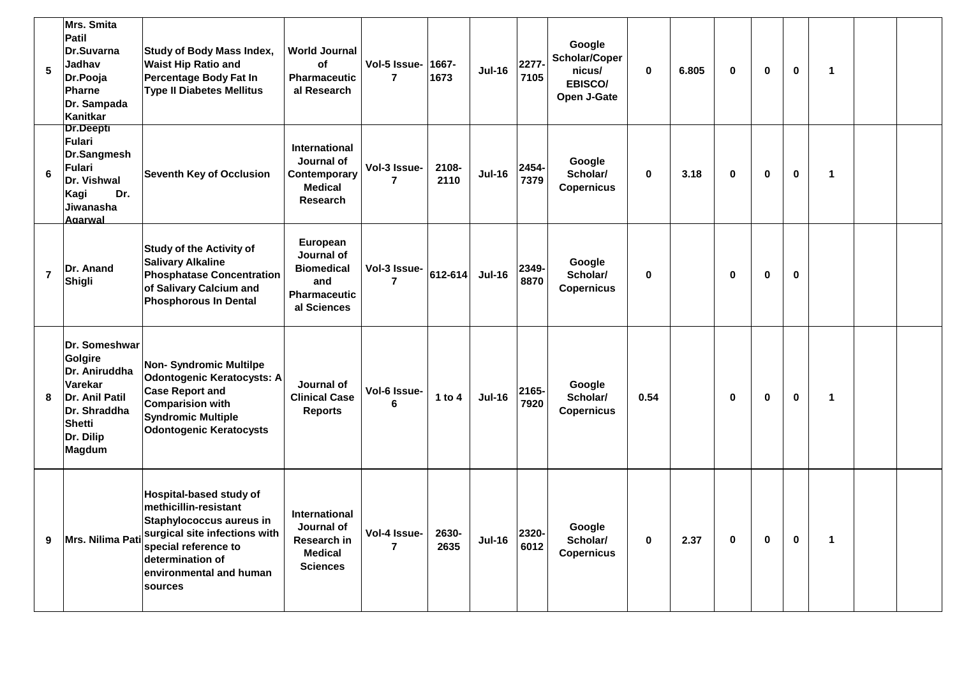| $5\phantom{.0}$ | Mrs. Smita<br>Patil<br>Dr.Suvarna<br>Jadhav<br>Dr.Pooja<br><b>Pharne</b><br>Dr. Sampada<br>Kanitkar                                   | <b>Study of Body Mass Index,</b><br><b>Waist Hip Ratio and</b><br><b>Percentage Body Fat In</b><br><b>Type II Diabetes Mellitus</b>                                                             | <b>World Journal</b><br>οf<br><b>Pharmaceutic</b><br>al Research                       | Vol-5 Issue-<br>7              | 1667-<br>1673 | <b>Jul-16</b> | 2277<br>7105  | Google<br>Scholar/Coper<br>nicus/<br>EBISCO/<br>Open J-Gate | 0        | 6.805 | $\mathbf 0$ | 0 | $\mathbf 0$ | $\mathbf{1}$ |  |
|-----------------|---------------------------------------------------------------------------------------------------------------------------------------|-------------------------------------------------------------------------------------------------------------------------------------------------------------------------------------------------|----------------------------------------------------------------------------------------|--------------------------------|---------------|---------------|---------------|-------------------------------------------------------------|----------|-------|-------------|---|-------------|--------------|--|
| 6               | <b>Dr.Deepti</b><br><b>Fulari</b><br>Dr.Sangmesh<br>Fulari<br>Dr. Vishwal<br>Dr.<br>Kagi<br>Jiwanasha<br><b>Agarwal</b>               | <b>Seventh Key of Occlusion</b>                                                                                                                                                                 | International<br>Journal of<br>Contemporary<br><b>Medical</b><br><b>Research</b>       | Vol-3 Issue-<br>7              | 2108-<br>2110 | <b>Jul-16</b> | 2454-<br>7379 | Google<br>Scholar/<br><b>Copernicus</b>                     | $\bf{0}$ | 3.18  | $\bf{0}$    | 0 | $\bf{0}$    | $\mathbf{1}$ |  |
| $\overline{7}$  | Dr. Anand<br>Shigli                                                                                                                   | <b>Study of the Activity of</b><br><b>Salivary Alkaline</b><br><b>Phosphatase Concentration</b><br>of Salivary Calcium and<br><b>Phosphorous In Dental</b>                                      | European<br>Journal of<br><b>Biomedical</b><br>and<br>Pharmaceutic<br>al Sciences      | Vol-3 Issue-<br>7              | $612 - 614$   | <b>Jul-16</b> | 2349-<br>8870 | Google<br>Scholar/<br><b>Copernicus</b>                     | 0        |       | $\mathbf 0$ | 0 | $\bf{0}$    |              |  |
| 8               | Dr. Someshwar<br>Golgire<br>Dr. Aniruddha<br>Varekar<br>Dr. Anil Patil<br>Dr. Shraddha<br><b>Shetti</b><br>Dr. Dilip<br><b>Magdum</b> | <b>Non- Syndromic Multilpe</b><br><b>Odontogenic Keratocysts: A</b><br><b>Case Report and</b><br><b>Comparision with</b><br><b>Syndromic Multiple</b><br><b>Odontogenic Keratocysts</b>         | Journal of<br><b>Clinical Case</b><br><b>Reports</b>                                   | Vol-6 Issue-<br>6              | 1 to $4$      | <b>Jul-16</b> | 2165-<br>7920 | Google<br>Scholar/<br><b>Copernicus</b>                     | 0.54     |       | $\mathbf 0$ | 0 | $\mathbf 0$ | $\mathbf 1$  |  |
| 9               | Mrs. Nilima Pati                                                                                                                      | Hospital-based study of<br>methicillin-resistant<br>Staphylococcus aureus in<br>surgical site infections with<br>special reference to<br>determination of<br>environmental and human<br>sources | International<br>Journal of<br><b>Research in</b><br><b>Medical</b><br><b>Sciences</b> | Vol-4 Issue-<br>$\overline{7}$ | 2630-<br>2635 | <b>Jul-16</b> | 2320-<br>6012 | Google<br>Scholar/<br><b>Copernicus</b>                     | 0        | 2.37  | 0           | 0 | $\mathbf 0$ | $\mathbf{1}$ |  |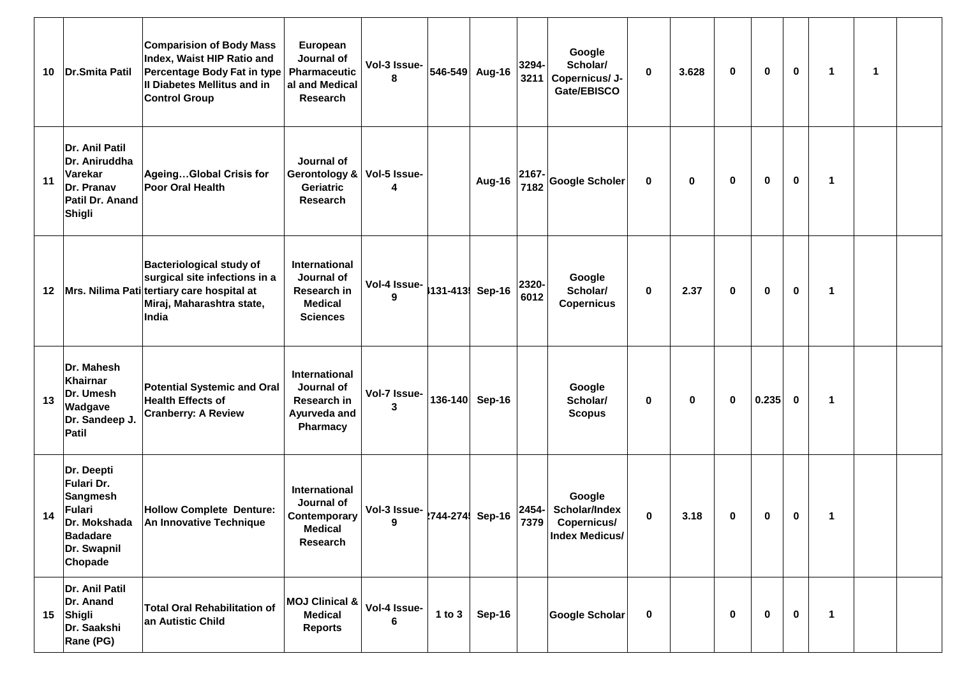| 10 | Dr.Smita Patil                                                                                            | <b>Comparision of Body Mass</b><br>Index, Waist HIP Ratio and<br>Percentage Body Fat in type<br>Il Diabetes Mellitus and in<br><b>Control Group</b>  | European<br>Journal of<br>Pharmaceutic<br>al and Medical<br>Research             | Vol-3 Issue-<br>546-549<br>8 | 3294-<br>Aug-16<br>3211        | Google<br>Scholar/<br>Copernicus/ J-<br>Gate/EBISCO             | $\pmb{0}$   | 3.628 | $\mathbf 0$ | 0           | $\bf{0}$    | $\mathbf 1$  | 1 |  |
|----|-----------------------------------------------------------------------------------------------------------|------------------------------------------------------------------------------------------------------------------------------------------------------|----------------------------------------------------------------------------------|------------------------------|--------------------------------|-----------------------------------------------------------------|-------------|-------|-------------|-------------|-------------|--------------|---|--|
| 11 | Dr. Anil Patil<br>Dr. Aniruddha<br>Varekar<br>Dr. Pranav<br>Patil Dr. Anand<br>Shigli                     | AgeingGlobal Crisis for<br>Poor Oral Health                                                                                                          | Journal of<br>Gerontology &<br>Geriatric<br>Research                             | Vol-5 Issue-<br>4            | 2167-<br>Aug-16<br>7182        | <b>Google Scholer</b>                                           | $\mathbf 0$ | 0     | $\mathbf 0$ | 0           | $\mathbf 0$ | $\mathbf 1$  |   |  |
| 12 |                                                                                                           | <b>Bacteriological study of</b><br>surgical site infections in a<br>Mrs. Nilima Pati tertiary care hospital at<br>Miraj, Maharashtra state,<br>India | International<br>Journal of<br>Research in<br><b>Medical</b><br><b>Sciences</b>  | Vol-4 Issue-<br>131-413<br>9 | 2320-<br><b>Sep-16</b><br>6012 | Google<br>Scholar/<br><b>Copernicus</b>                         | $\bf{0}$    | 2.37  | $\mathbf 0$ | 0           | $\mathbf 0$ | $\mathbf 1$  |   |  |
| 13 | Dr. Mahesh<br>Khairnar<br>Dr. Umesh<br>Wadgave<br>Dr. Sandeep J.<br>Patil                                 | <b>Potential Systemic and Oral</b><br><b>Health Effects of</b><br><b>Cranberry: A Review</b>                                                         | International<br>Journal of<br>Research in<br>Ayurveda and<br>Pharmacy           | Vol-7 Issue-<br>136-140<br>3 | Sep-16                         | Google<br>Scholar/<br><b>Scopus</b>                             | $\bf{0}$    | 0     | $\mathbf 0$ | 0.235       | $\bf{0}$    | $\mathbf 1$  |   |  |
| 14 | Dr. Deepti<br>Fulari Dr.<br><b>Sangmesh</b><br><b>Fulari</b><br><b>Badadare</b><br>Dr. Swapnil<br>Chopade | <b>Hollow Complete Denture:</b><br>Dr. Mokshada   An Innovative Technique                                                                            | International<br>Journal of<br>Contemporary<br><b>Medical</b><br><b>Research</b> | Vol-3 Issue- 744-274 Sep-16  | $ 2454-$<br>7379               | Google<br>Scholar/Index<br>Copernicus/<br><b>Index Medicus/</b> | $\bf{0}$    | 3.18  | 0           | 0           | 0           | $\mathbf{1}$ |   |  |
| 15 | Dr. Anil Patil<br>Dr. Anand<br>Shigli<br>Dr. Saakshi<br><b>Rane (PG)</b>                                  | <b>Total Oral Rehabilitation of</b><br>an Autistic Child                                                                                             | <b>MOJ Clinical &amp;</b><br><b>Medical</b><br><b>Reports</b>                    | Vol-4 Issue-<br>1 to 3<br>6  | <b>Sep-16</b>                  | Google Scholar                                                  | $\mathbf 0$ |       | 0           | $\mathbf 0$ | $\mathbf 0$ | $\mathbf{1}$ |   |  |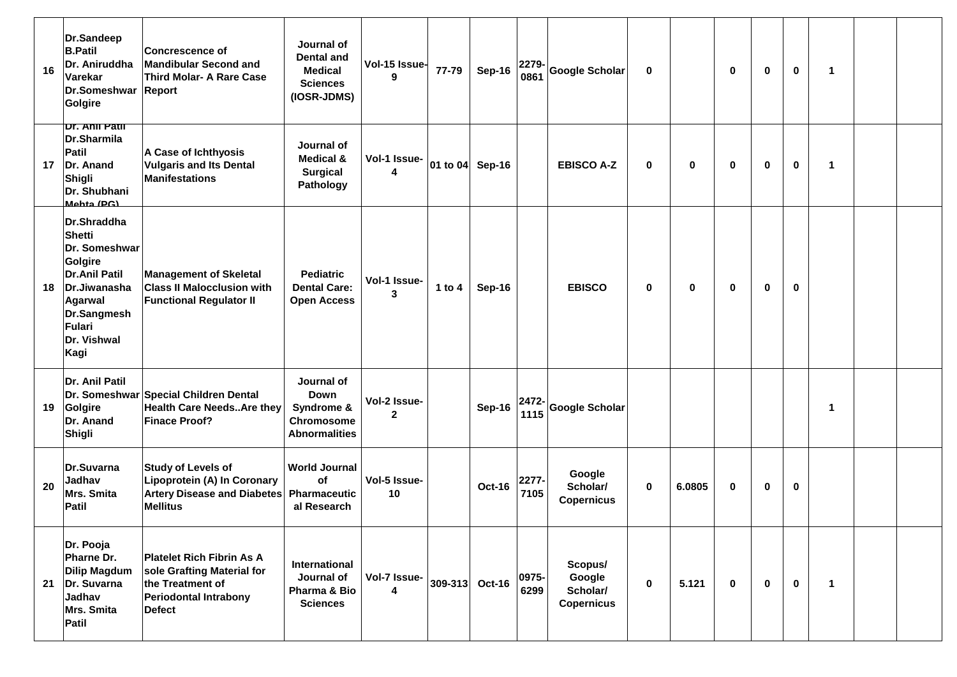| 16 | Dr.Sandeep<br><b>B.Patil</b><br>Dr. Aniruddha<br>Varekar<br>Dr.Someshwar Report<br>Golgire                                                                         | <b>Concrescence of</b><br><b>Mandibular Second and</b><br><b>Third Molar- A Rare Case</b>                                           | Journal of<br><b>Dental and</b><br><b>Medical</b><br><b>Sciences</b><br>(IOSR-JDMS) | Vol-15 Issue-<br>9                      | 77-79    | <b>Sep-16</b>   | 2279-<br>0861 | Google Scholar                                     | 0         |             | $\mathbf 0$ | $\mathbf 0$ | $\mathbf 0$ | $\blacktriangleleft$ |  |
|----|--------------------------------------------------------------------------------------------------------------------------------------------------------------------|-------------------------------------------------------------------------------------------------------------------------------------|-------------------------------------------------------------------------------------|-----------------------------------------|----------|-----------------|---------------|----------------------------------------------------|-----------|-------------|-------------|-------------|-------------|----------------------|--|
| 17 | Dr. Anii Patii<br>Dr.Sharmila<br>Patil<br>Dr. Anand<br>Shigli<br>Dr. Shubhani<br>Mahta (PG)                                                                        | A Case of Ichthyosis<br><b>Vulgaris and Its Dental</b><br><b>Manifestations</b>                                                     | Journal of<br><b>Medical &amp;</b><br><b>Surgical</b><br>Pathology                  | Vol-1 Issue-<br>4                       |          | 01 to 04 Sep-16 |               | <b>EBISCO A-Z</b>                                  | 0         | $\bf{0}$    | $\mathbf 0$ | 0           | $\mathbf 0$ | $\blacktriangleleft$ |  |
| 18 | Dr.Shraddha<br><b>Shetti</b><br>Dr. Someshwar<br>Golgire<br><b>Dr.Anil Patil</b><br>Dr.Jiwanasha<br>Agarwal<br>Dr.Sangmesh<br><b>Fulari</b><br>Dr. Vishwal<br>Kagi | <b>Management of Skeletal</b><br><b>Class II Malocclusion with</b><br><b>Functional Regulator II</b>                                | <b>Pediatric</b><br><b>Dental Care:</b><br><b>Open Access</b>                       | Vol-1 Issue-<br>$\overline{\mathbf{3}}$ | 1 to $4$ | <b>Sep-16</b>   |               | <b>EBISCO</b>                                      | 0         | $\mathbf 0$ | $\mathbf 0$ | $\mathbf 0$ | $\mathbf 0$ |                      |  |
| 19 | Dr. Anil Patil<br>Golgire<br>Dr. Anand<br>Shigli                                                                                                                   | Dr. Someshwar Special Children Dental<br><b>Health Care Needs Are they</b><br><b>Finace Proof?</b>                                  | Journal of<br><b>Down</b><br>Syndrome &<br>Chromosome<br><b>Abnormalities</b>       | Vol-2 Issue-<br>$\mathbf{2}$            |          | Sep-16          | 2472-<br>1115 | Google Scholar                                     |           |             |             |             |             | $\blacktriangleleft$ |  |
| 20 | Dr.Suvarna<br>Jadhav<br>Mrs. Smita<br>Patil                                                                                                                        | <b>Study of Levels of</b><br>Lipoprotein (A) In Coronary<br>Artery Disease and Diabetes<br><b>Mellitus</b>                          | <b>World Journal</b><br>οf<br>Pharmaceutic<br>al Research                           | Vol-5 Issue-<br>10                      |          | Oct-16          | 2277<br>7105  | Google<br>Scholar/<br><b>Copernicus</b>            | 0         | 6.0805      | 0           | 0           | 0           |                      |  |
| 21 | Dr. Pooja<br>Pharne Dr.<br><b>Dilip Magdum</b><br>Dr. Suvarna<br>Jadhav<br>Mrs. Smita<br>Patil                                                                     | <b>Platelet Rich Fibrin As A</b><br>sole Grafting Material for<br>the Treatment of<br><b>Periodontal Intrabony</b><br><b>Defect</b> | International<br>Journal of<br>Pharma & Bio<br><b>Sciences</b>                      | Vol-7 Issue-<br>4                       |          | 309-313 Oct-16  | 0975-<br>6299 | Scopus/<br>Google<br>Scholar/<br><b>Copernicus</b> | $\pmb{0}$ | 5.121       | $\mathbf 0$ | $\mathbf 0$ | $\mathbf 0$ | $\blacktriangleleft$ |  |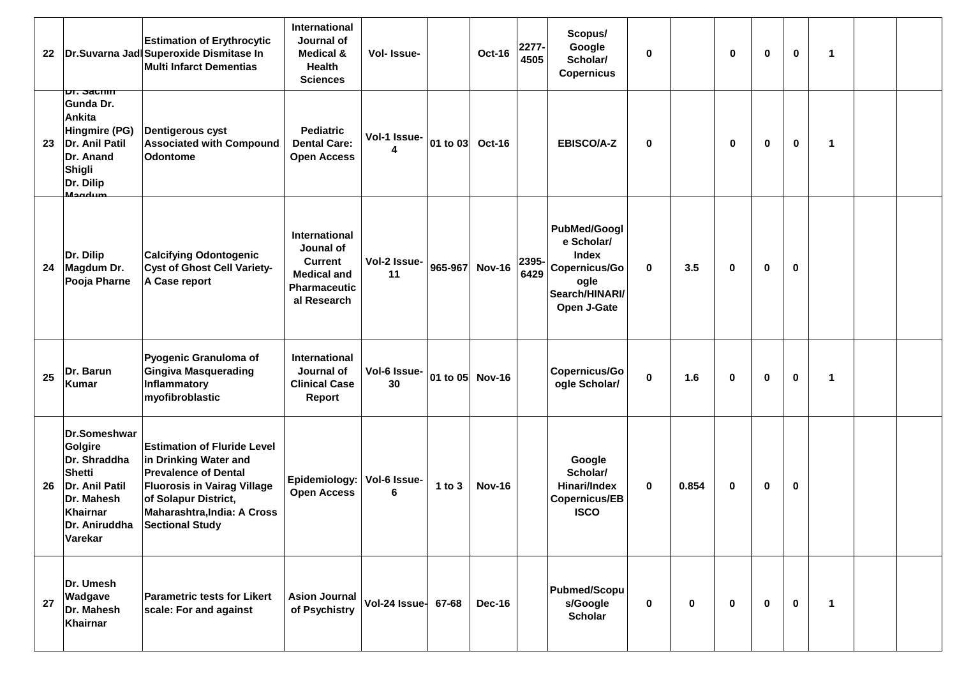| 22 |                                                                                                                                         | <b>Estimation of Erythrocytic</b><br>Dr.Suvarna Jadi Superoxide Dismitase In<br><b>Multi Infarct Dementias</b>                                                                                                           | International<br>Journal of<br><b>Medical &amp;</b><br><b>Health</b><br><b>Sciences</b>                         | Vol- Issue-         |          | <b>Oct-16</b> | 2277-<br>4505 | Scopus/<br>Google<br>Scholar/<br><b>Copernicus</b>                                                          | $\mathbf 0$ |             | $\bf{0}$     | $\mathbf 0$ | $\mathbf 0$ | $\blacktriangleleft$ |  |
|----|-----------------------------------------------------------------------------------------------------------------------------------------|--------------------------------------------------------------------------------------------------------------------------------------------------------------------------------------------------------------------------|-----------------------------------------------------------------------------------------------------------------|---------------------|----------|---------------|---------------|-------------------------------------------------------------------------------------------------------------|-------------|-------------|--------------|-------------|-------------|----------------------|--|
| 23 | <del>Dr. Sacnin</del><br>Gunda Dr.<br>Ankita<br>Hingmire (PG)<br>Dr. Anil Patil<br>Dr. Anand<br>Shigli<br>Dr. Dilip<br>Mandum           | <b>Dentigerous cyst</b><br><b>Associated with Compound</b><br><b>Odontome</b>                                                                                                                                            | <b>Pediatric</b><br><b>Dental Care:</b><br><b>Open Access</b>                                                   | Vol-1 Issue-<br>4   | 01 to 03 | Oct-16        |               | <b>EBISCO/A-Z</b>                                                                                           | $\bf{0}$    |             | $\bf{0}$     | 0           | 0           | -1                   |  |
| 24 | Dr. Dilip<br>Magdum Dr.<br>Pooja Pharne                                                                                                 | <b>Calcifying Odontogenic</b><br><b>Cyst of Ghost Cell Variety-</b><br>A Case report                                                                                                                                     | <b>International</b><br>Jounal of<br><b>Current</b><br><b>Medical and</b><br><b>Pharmaceutic</b><br>al Research | Vol-2 Issue-<br>11  | 965-967  | <b>Nov-16</b> | 2395-<br>6429 | <b>PubMed/Googl</b><br>e Scholar/<br><b>Index</b><br>Copernicus/Go<br>ogle<br>Search/HINARI/<br>Open J-Gate | $\bf{0}$    | 3.5         | $\bf{0}$     | 0           | $\mathbf 0$ |                      |  |
| 25 | Dr. Barun<br><b>Kumar</b>                                                                                                               | Pyogenic Granuloma of<br><b>Gingiva Masquerading</b><br>Inflammatory<br>myofibroblastic                                                                                                                                  | <b>International</b><br>Journal of<br><b>Clinical Case</b><br>Report                                            | Vol-6 Issue-<br>30  | 01 to 05 | <b>Nov-16</b> |               | Copernicus/Go<br>ogle Scholar/                                                                              | $\bf{0}$    | 1.6         | $\bf{0}$     | 0           | $\mathbf 0$ | -1                   |  |
| 26 | Dr.Someshwar<br>Golgire<br>Dr. Shraddha<br><b>Shetti</b><br>Dr. Anil Patil<br>Dr. Mahesh<br><b>Khairnar</b><br>Dr. Aniruddha<br>Varekar | <b>Estimation of Fluride Level</b><br>in Drinking Water and<br><b>Prevalence of Dental</b><br><b>Fluorosis in Vairag Village</b><br>of Solapur District,<br><b>Maharashtra, India: A Cross</b><br><b>Sectional Study</b> | Epidemiology:<br><b>Open Access</b>                                                                             | Vol-6 Issue-<br>6   | 1 to $3$ | <b>Nov-16</b> |               | Google<br>Scholar/<br>Hinari/Index<br><b>Copernicus/EB</b><br><b>ISCO</b>                                   | $\bf{0}$    | 0.854       | 0            | 0           | $\mathbf 0$ |                      |  |
| 27 | Dr. Umesh<br>Wadgave<br>Dr. Mahesh<br>Khairnar                                                                                          | <b>Parametric tests for Likert</b><br>scale: For and against                                                                                                                                                             | <b>Asion Journal</b><br>of Psychistry                                                                           | Vol-24 Issue- 67-68 |          | <b>Dec-16</b> |               | <b>Pubmed/Scopu</b><br>s/Google<br><b>Scholar</b>                                                           | $\mathbf 0$ | $\mathbf 0$ | $\mathbf{0}$ | $\mathbf 0$ | $\mathbf 0$ | $\blacktriangleleft$ |  |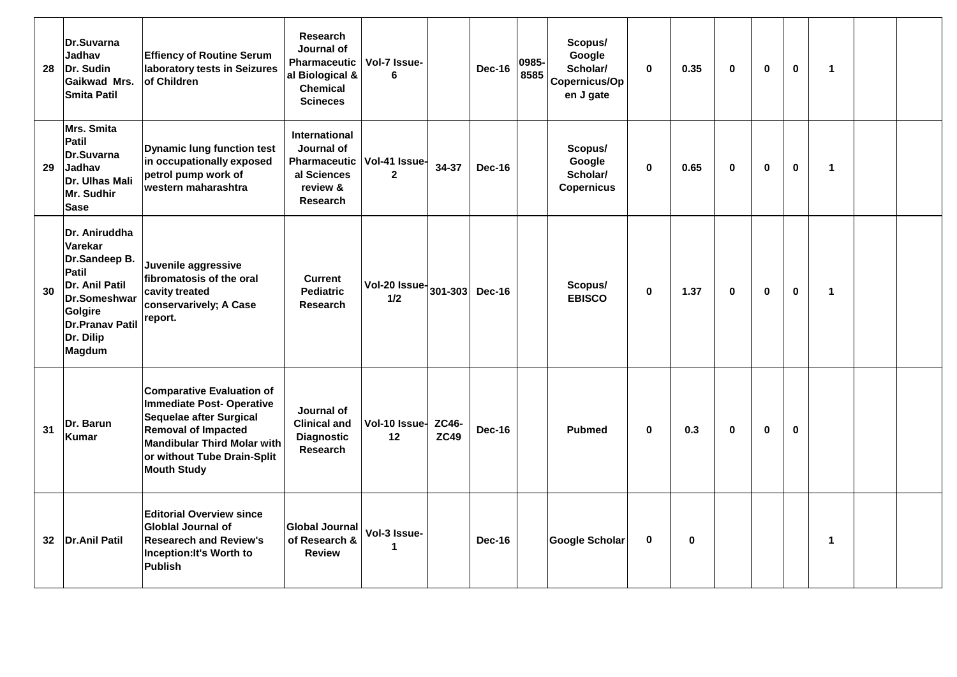| 28 | Dr.Suvarna<br>Jadhav<br>Dr. Sudin<br><b>Gaikwad Mrs.</b><br><b>Smita Patil</b>                                                                                 | <b>Effiency of Routine Serum</b><br>laboratory tests in Seizures<br>of Children                                                                                                                                  | <b>Research</b><br>Journal of<br><b>Pharmaceutic</b><br>al Biological &<br><b>Chemical</b><br><b>Scineces</b> | Vol-7 Issue-<br>6                                  | 0985-<br><b>Dec-16</b><br>8585 | Scopus/<br>Google<br>Scholar/<br>Copernicus/Op<br>en J gate | $\bf{0}$     | 0.35        | $\bf{0}$    | $\bf{0}$    | $\mathbf 0$ | $\mathbf{1}$   |  |
|----|----------------------------------------------------------------------------------------------------------------------------------------------------------------|------------------------------------------------------------------------------------------------------------------------------------------------------------------------------------------------------------------|---------------------------------------------------------------------------------------------------------------|----------------------------------------------------|--------------------------------|-------------------------------------------------------------|--------------|-------------|-------------|-------------|-------------|----------------|--|
| 29 | Mrs. Smita<br><b>Patil</b><br>Dr.Suvarna<br>Jadhav<br>Dr. Ulhas Mali<br>Mr. Sudhir<br><b>Sase</b>                                                              | <b>Dynamic lung function test</b><br>in occupationally exposed<br>petrol pump work of<br>western maharashtra                                                                                                     | <b>International</b><br>Journal of<br><b>Pharmaceutic</b><br>al Sciences<br>review &<br>Research              | Vol-41 Issue-<br>34-37<br>$\overline{2}$           | <b>Dec-16</b>                  | Scopus/<br>Google<br>Scholar/<br><b>Copernicus</b>          | $\mathbf 0$  | 0.65        | $\mathbf 0$ | $\bf{0}$    | $\mathbf 0$ | $\mathbf{1}$   |  |
| 30 | Dr. Aniruddha<br>Varekar<br>Dr.Sandeep B.<br><b>Patil</b><br>Dr. Anil Patil<br>Dr.Someshwar<br>Golgire<br><b>Dr.Pranav Patil</b><br>Dr. Dilip<br><b>Magdum</b> | Juvenile aggressive<br>fibromatosis of the oral<br>cavity treated<br>conservarively; A Case<br>report.                                                                                                           | <b>Current</b><br><b>Pediatric</b><br><b>Research</b>                                                         | Vol-20 Issue-<br>301-303<br>1/2                    | <b>Dec-16</b>                  | Scopus/<br><b>EBISCO</b>                                    | $\mathbf{0}$ | 1.37        | $\mathbf 0$ | $\mathbf 0$ | $\mathbf 0$ | $\overline{1}$ |  |
| 31 | Dr. Barun<br><b>Kumar</b>                                                                                                                                      | <b>Comparative Evaluation of</b><br>Immediate Post-Operative<br>Sequelae after Surgical<br><b>Removal of Impacted</b><br><b>Mandibular Third Molar with</b><br>or without Tube Drain-Split<br><b>Mouth Study</b> | Journal of<br><b>Clinical and</b><br><b>Diagnostic</b><br><b>Research</b>                                     | Vol-10 Issue-<br><b>ZC46-</b><br><b>ZC49</b><br>12 | <b>Dec-16</b>                  | <b>Pubmed</b>                                               | 0            | 0.3         | $\bf{0}$    | $\mathbf 0$ | $\bf{0}$    |                |  |
| 32 | Dr.Anil Patil                                                                                                                                                  | <b>Editorial Overview since</b><br><b>Globlal Journal of</b><br><b>Researech and Review's</b><br>Inception: It's Worth to<br><b>Publish</b>                                                                      | <b>Global Journal</b><br>of Research &<br><b>Review</b>                                                       | Vol-3 Issue-<br>$\mathbf 1$                        | Dec-16                         | <b>Google Scholar</b>                                       | $\mathbf 0$  | $\mathbf 0$ |             |             |             | 1              |  |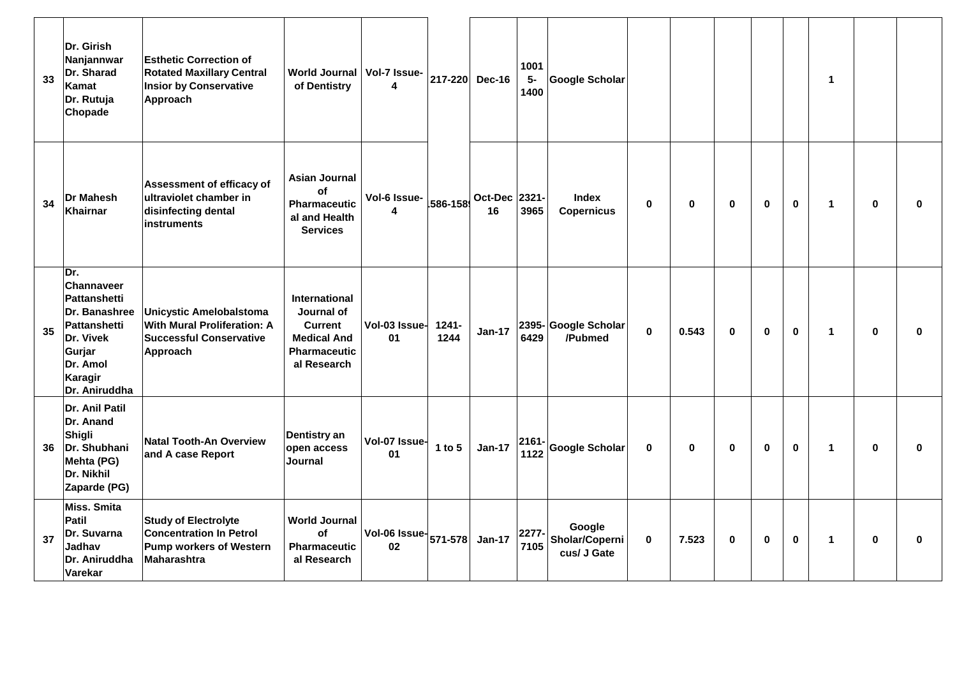| 33 | Dr. Girish<br>Nanjannwar<br>Dr. Sharad<br>Kamat<br>Dr. Rutuja<br>Chopade                                                                        | <b>Esthetic Correction of</b><br><b>Rotated Maxillary Central</b><br><b>Insior by Conservative</b><br>Approach     | <b>World Journal</b><br>of Dentistry                                                                             | Vol-7 Issue-<br>4                                 |                  | 217-220 Dec-16      | 1001<br>$5-$<br>1400 | <b>Google Scholar</b>                                  |             |             |              |              | 1            |              |              |
|----|-------------------------------------------------------------------------------------------------------------------------------------------------|--------------------------------------------------------------------------------------------------------------------|------------------------------------------------------------------------------------------------------------------|---------------------------------------------------|------------------|---------------------|----------------------|--------------------------------------------------------|-------------|-------------|--------------|--------------|--------------|--------------|--------------|
| 34 | <b>Dr Mahesh</b><br><b>Khairnar</b>                                                                                                             | Assessment of efficacy of<br>ultraviolet chamber in<br>disinfecting dental<br><b>instruments</b>                   | <b>Asian Journal</b><br>of<br><b>Pharmaceutic</b><br>al and Health<br><b>Services</b>                            | Vol-6 Issue-<br>4                                 | 586-158          | Oct-Dec 2321-<br>16 | 3965                 | <b>Index</b><br>$\bf{0}$<br><b>Copernicus</b>          | $\mathbf 0$ | $\bf{0}$    | $\mathbf{0}$ | $\mathbf 0$  | $\mathbf{1}$ | $\bf{0}$     | <sup>0</sup> |
| 35 | Dr.<br>Channaveer<br><b>Pattanshetti</b><br>Dr. Banashree<br><b>Pattanshetti</b><br>Dr. Vivek<br>Gurjar<br>Dr. Amol<br>Karagir<br>Dr. Aniruddha | <b>Unicystic Amelobalstoma</b><br><b>With Mural Proliferation: A</b><br><b>Successful Conservative</b><br>Approach | <b>International</b><br>Journal of<br><b>Current</b><br><b>Medical And</b><br><b>Pharmaceutic</b><br>al Research | Vol-03 Issue-<br>01                               | $1241 -$<br>1244 | <b>Jan-17</b>       | 6429                 | 2395-Google Scholar<br>$\bf{0}$<br>/Pubmed             | 0.543       | $\bf{0}$    | 0            | $\mathbf{0}$ | $\mathbf{1}$ | $\mathbf{0}$ | 0            |
| 36 | Dr. Anil Patil<br>Dr. Anand<br>Shigli<br>Dr. Shubhani<br>Mehta (PG)<br>Dr. Nikhil<br>Zaparde (PG)                                               | Natal Tooth-An Overview<br>and A case Report                                                                       | Dentistry an<br>open access<br>Journal                                                                           | Vol-07 Issue-<br>01                               | 1 to $5$         | <b>Jan-17</b>       | $2161 -$<br>1122     | <b>Google Scholar</b><br>$\mathbf 0$                   | 0           | $\bf{0}$    | 0            | $\mathbf 0$  | $\mathbf{1}$ | 0            | ŋ            |
| 37 | Miss. Smita<br>Patil<br>Dr. Suvarna<br>Jadhav<br>Dr. Aniruddha<br>Varekar                                                                       | <b>Study of Electrolyte</b><br><b>Concentration In Petrol</b><br><b>Pump workers of Western</b><br>Maharashtra     | <b>World Journal</b><br><b>of</b><br><b>Pharmaceutic</b><br>al Research                                          | Vol-06 Issue $\vert$ 571-578 $\vert$ Jan-17<br>02 |                  |                     | 2277-<br>7105        | Google<br>Sholar/Coperni<br>$\mathbf 0$<br>cus/ J Gate | 7.523       | $\mathbf 0$ | $\mathbf 0$  | $\mathbf 0$  | 1            | $\mathbf 0$  | ŋ            |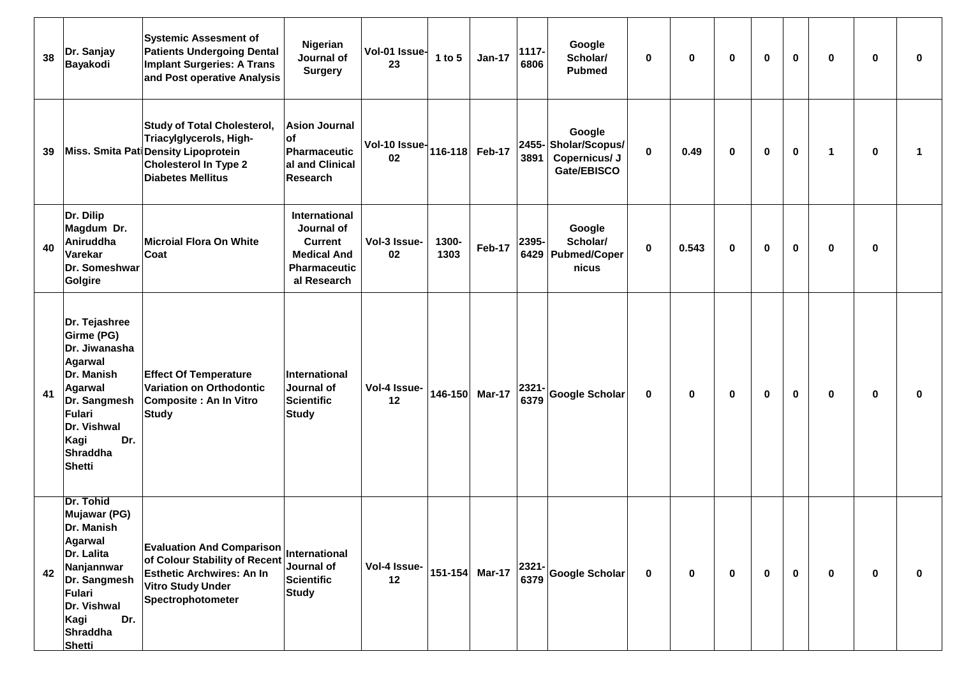| 38 | Dr. Sanjay<br>Bayakodi                                                                                                                                                | <b>Systemic Assesment of</b><br><b>Patients Undergoing Dental</b><br><b>Implant Surgeries: A Trans</b><br>and Post operative Analysis                             | Nigerian<br>Journal of<br><b>Surgery</b>                                                                         | Vol-01 Issue-<br>23                    | 1 to $5$      | <b>Jan-17</b>  | 1117-<br>6806 | Google<br>Scholar/<br><b>Pubmed</b>                           | $\bf{0}$    | $\bf{0}$ | $\mathbf 0$ | $\mathbf 0$ | $\bf{0}$    | $\bf{0}$     | 0           | 0 |
|----|-----------------------------------------------------------------------------------------------------------------------------------------------------------------------|-------------------------------------------------------------------------------------------------------------------------------------------------------------------|------------------------------------------------------------------------------------------------------------------|----------------------------------------|---------------|----------------|---------------|---------------------------------------------------------------|-------------|----------|-------------|-------------|-------------|--------------|-------------|---|
| 39 |                                                                                                                                                                       | <b>Study of Total Cholesterol,</b><br>Triacylglycerols, High-<br>Miss. Smita Pati Density Lipoprotein<br><b>Cholesterol In Type 2</b><br><b>Diabetes Mellitus</b> | <b>Asion Journal</b><br><b>of</b><br><b>Pharmaceutic</b><br>al and Clinical<br>Research                          | Vol-10 Issue- $ 116-118 $ Feb-17<br>02 |               |                | 3891          | Google<br>2455-Sholar/Scopus/<br>Copernicus/ J<br>Gate/EBISCO | $\mathbf 0$ | 0.49     | $\bf{0}$    | $\mathbf 0$ | $\mathbf 0$ | $\mathbf{1}$ | $\mathbf 0$ |   |
| 40 | Dr. Dilip<br>Magdum Dr.<br>Aniruddha<br>Varekar<br>Dr. Someshwar<br>Golgire                                                                                           | Microial Flora On White<br>Coat                                                                                                                                   | <b>International</b><br>Journal of<br><b>Current</b><br><b>Medical And</b><br><b>Pharmaceutic</b><br>al Research | Vol-3 Issue-<br>02                     | 1300-<br>1303 | <b>Feb-17</b>  | 2395-<br>6429 | Google<br>Scholar/<br><b>Pubmed/Coper</b><br>nicus            | $\mathbf 0$ | 0.543    | $\mathbf 0$ | $\mathbf 0$ | $\mathbf 0$ | $\mathbf 0$  | 0           |   |
| 41 | Dr. Tejashree<br><b>Girme (PG)</b><br>Dr. Jiwanasha<br>Agarwal<br>Dr. Manish<br>Agarwal<br>Dr. Sangmesh<br>Fulari<br>Dr. Vishwal<br>Dr.<br>Kagi<br>Shraddha<br>Shetti | <b>Effect Of Temperature</b><br>Variation on Orthodontic<br>Composite: An In Vitro<br>Study                                                                       | International<br>Journal of<br><b>Scientific</b><br><b>Study</b>                                                 | Vol-4 Issue-<br>12                     |               | 146-150 Mar-17 | 2321-<br>6379 | Google Scholar                                                | $\mathbf 0$ | 0        | $\mathbf 0$ | 0           | $\mathbf 0$ | $\mathbf 0$  | 0           | 0 |
| 42 | Dr. Tohid<br>Mujawar (PG)<br>Dr. Manish<br><b>Agarwal</b><br>Dr. Lalita<br>Nanjannwar<br>Dr. Sangmesh<br>Fulari<br>Dr. Vishwal<br>Kagi<br>Dr.<br>Shraddha<br>Shetti   | <b>Evaluation And Comparison</b><br>of Colour Stability of Recent<br><b>Esthetic Archwires: An In</b><br><b>Vitro Study Under</b><br>Spectrophotometer            | International<br>Journal of<br><b>Scientific</b><br><b>Study</b>                                                 | Vol-4 Issue-<br>12                     |               | 151-154 Mar-17 | 2321-<br>6379 | Google Scholar                                                | $\mathbf 0$ | 0        | $\mathbf 0$ | 0           | $\mathbf 0$ | $\mathbf 0$  | 0           | 0 |